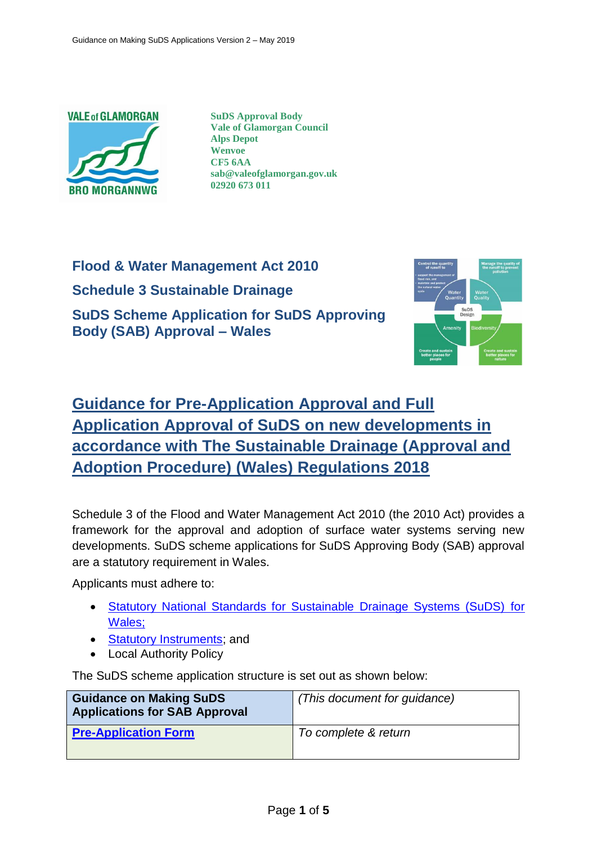

**SuDS Approval Body Vale of Glamorgan Council Alps Depot Wenvoe CF5 6AA sab@valeofglamorgan.gov.uk 02920 673 011**

**Flood & Water Management Act 2010 Schedule 3 Sustainable Drainage SuDS Scheme Application for SuDS Approving Body (SAB) Approval – Wales**



## **Guidance for Pre-Application Approval and Full Application Approval of SuDS on new developments in accordance with The Sustainable Drainage (Approval and Adoption Procedure) (Wales) Regulations 2018**

Schedule 3 of the Flood and Water Management Act 2010 (the 2010 Act) provides a framework for the approval and adoption of surface water systems serving new developments. SuDS scheme applications for SuDS Approving Body (SAB) approval are a statutory requirement in Wales.

Applicants must adhere to:

- [Statutory National Standards for Sustainable Drainage Systems \(SuDS\)](https://gov.wales/docs/desh/publications/181015-suds-statutory-standards-en.pdf) for [Wales;](https://gov.wales/docs/desh/publications/181015-suds-statutory-standards-en.pdf)
- [Statutory Instruments;](https://gov.wales/topics/environmentcountryside/epq/flooding/drainage/?lang=en) and
- Local Authority Policy

The SuDS scheme application structure is set out as shown below:

| <b>Guidance on Making SuDS</b><br><b>Applications for SAB Approval</b> | (This document for guidance) |
|------------------------------------------------------------------------|------------------------------|
| <b>Pre-Application Form</b>                                            | To complete & return         |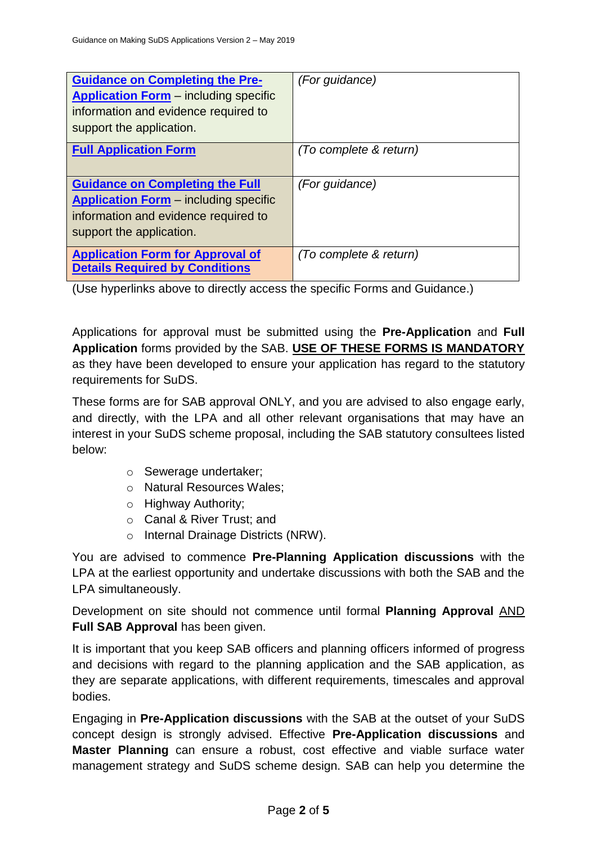| <b>Guidance on Completing the Pre-</b><br><b>Application Form</b> – including specific<br>information and evidence required to<br>support the application. | (For guidance)         |
|------------------------------------------------------------------------------------------------------------------------------------------------------------|------------------------|
| <b>Full Application Form</b>                                                                                                                               | (To complete & return) |
| <b>Guidance on Completing the Full</b><br><b>Application Form</b> – including specific<br>information and evidence required to<br>support the application. | (For quidance)         |
| <b>Application Form for Approval of</b><br><b>Details Required by Conditions</b>                                                                           | (To complete & return) |

(Use hyperlinks above to directly access the specific Forms and Guidance.)

Applications for approval must be submitted using the **Pre-Application** and **Full Application** forms provided by the SAB. **USE OF THESE FORMS IS MANDATORY** as they have been developed to ensure your application has regard to the statutory requirements for SuDS.

These forms are for SAB approval ONLY, and you are advised to also engage early, and directly, with the LPA and all other relevant organisations that may have an interest in your SuDS scheme proposal, including the SAB statutory consultees listed below:

- o Sewerage undertaker;
- o Natural Resources Wales;
- o Highway Authority;
- o Canal & River Trust; and
- o Internal Drainage Districts (NRW).

You are advised to commence **Pre-Planning Application discussions** with the LPA at the earliest opportunity and undertake discussions with both the SAB and the LPA simultaneously.

Development on site should not commence until formal **Planning Approval** AND **Full SAB Approval** has been given.

It is important that you keep SAB officers and planning officers informed of progress and decisions with regard to the planning application and the SAB application, as they are separate applications, with different requirements, timescales and approval bodies.

Engaging in **Pre-Application discussions** with the SAB at the outset of your SuDS concept design is strongly advised. Effective **Pre-Application discussions** and **Master Planning** can ensure a robust, cost effective and viable surface water management strategy and SuDS scheme design. SAB can help you determine the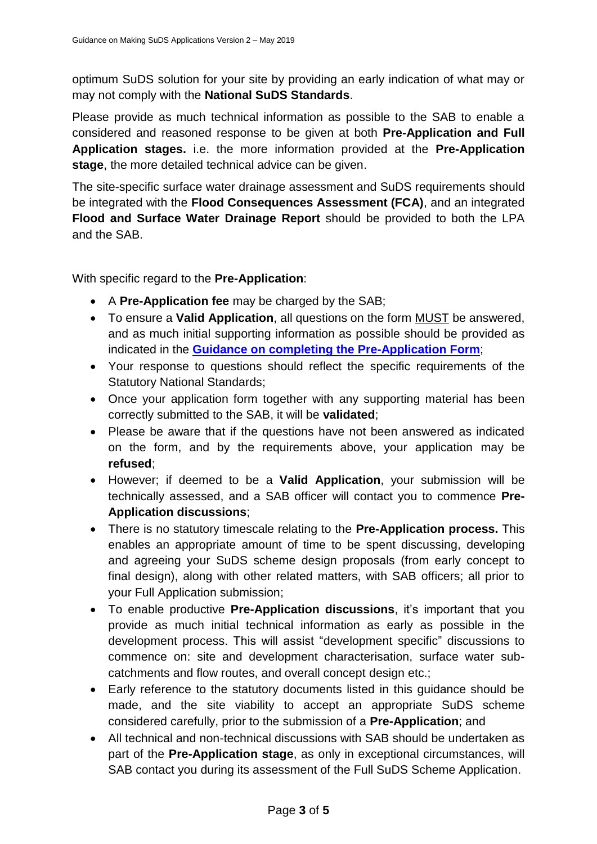optimum SuDS solution for your site by providing an early indication of what may or may not comply with the **National SuDS Standards**.

Please provide as much technical information as possible to the SAB to enable a considered and reasoned response to be given at both **Pre-Application and Full Application stages.** i.e. the more information provided at the **Pre-Application stage**, the more detailed technical advice can be given.

The site-specific surface water drainage assessment and SuDS requirements should be integrated with the **Flood Consequences Assessment (FCA)**, and an integrated **Flood and Surface Water Drainage Report** should be provided to both the LPA and the SAB.

With specific regard to the **Pre-Application**:

- A **Pre-Application fee** may be charged by the SAB;
- To ensure a **Valid Application**, all questions on the form MUST be answered, and as much initial supporting information as possible should be provided as indicated in the **[Guidance on completing the Pre-Application Form](file://///valeofglamorgan/sharetree/highways/engservices/engprojects/2183%20-%20FWMA%20Schedule%203%20Implementation/Application%20Form/Pre-App%20Form%20FINAL%20Version%2005_11_18.docx)**;
- Your response to questions should reflect the specific requirements of the Statutory National Standards;
- Once your application form together with any supporting material has been correctly submitted to the SAB, it will be **validated**;
- Please be aware that if the questions have not been answered as indicated on the form, and by the requirements above, your application may be **refused**;
- However; if deemed to be a **Valid Application**, your submission will be technically assessed, and a SAB officer will contact you to commence **Pre-Application discussions**;
- There is no statutory timescale relating to the **Pre-Application process.** This enables an appropriate amount of time to be spent discussing, developing and agreeing your SuDS scheme design proposals (from early concept to final design), along with other related matters, with SAB officers; all prior to your Full Application submission;
- To enable productive **Pre-Application discussions**, it's important that you provide as much initial technical information as early as possible in the development process. This will assist "development specific" discussions to commence on: site and development characterisation, surface water subcatchments and flow routes, and overall concept design etc.;
- Early reference to the statutory documents listed in this guidance should be made, and the site viability to accept an appropriate SuDS scheme considered carefully, prior to the submission of a **Pre-Application**; and
- All technical and non-technical discussions with SAB should be undertaken as part of the **Pre-Application stage**, as only in exceptional circumstances, will SAB contact you during its assessment of the Full SuDS Scheme Application.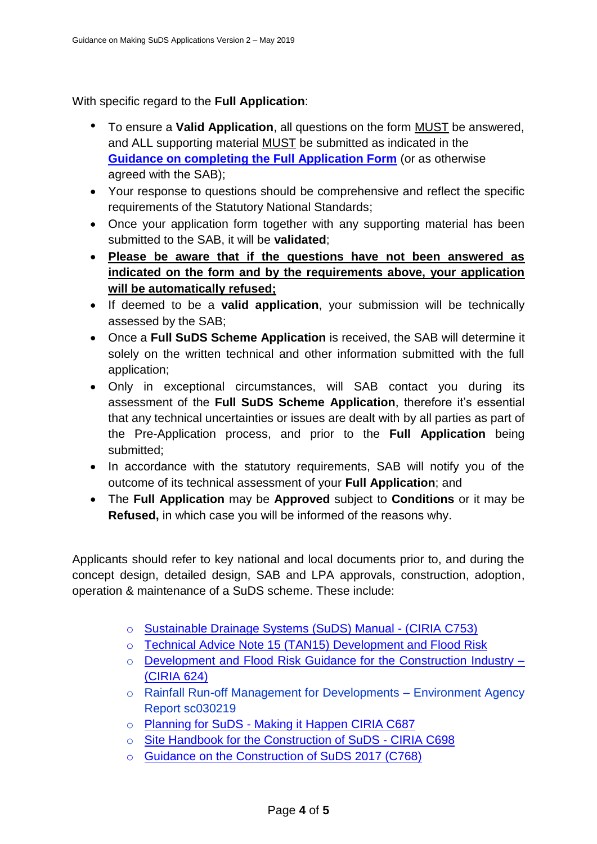With specific regard to the **Full Application**:

- To ensure a **Valid Application**, all questions on the form MUST be answered, and ALL supporting material MUST be submitted as indicated in the **[Guidance on completing the Full Application Form](file://///valeofglamorgan/sharetree/highways/engservices/engprojects/2183%20-%20FWMA%20Schedule%203%20Implementation/Application%20Form/Full%20App%20Form%20FINAL%20Version%2005_11_18.docx)** (or as otherwise agreed with the SAB);
- Your response to questions should be comprehensive and reflect the specific requirements of the Statutory National Standards;
- Once your application form together with any supporting material has been submitted to the SAB, it will be **validated**;
- **Please be aware that if the questions have not been answered as indicated on the form and by the requirements above, your application will be automatically refused;**
- If deemed to be a **valid application**, your submission will be technically assessed by the SAB;
- Once a **Full SuDS Scheme Application** is received, the SAB will determine it solely on the written technical and other information submitted with the full application;
- Only in exceptional circumstances, will SAB contact you during its assessment of the **Full SuDS Scheme Application**, therefore it's essential that any technical uncertainties or issues are dealt with by all parties as part of the Pre-Application process, and prior to the **Full Application** being submitted;
- In accordance with the statutory requirements, SAB will notify you of the outcome of its technical assessment of your **Full Application**; and
- The **Full Application** may be **Approved** subject to **Conditions** or it may be **Refused,** in which case you will be informed of the reasons why.

Applicants should refer to key national and local documents prior to, and during the concept design, detailed design, SAB and LPA approvals, construction, adoption, operation & maintenance of a SuDS scheme. These include:

- o [Sustainable Drainage Systems \(SuDS\) Manual -](https://www.ciria.org/Resources/Free_publications/SuDS_manual_C753.aspx) (CIRIA C753)
- o [Technical Advice Note 15 \(TAN15\) Development and Flood Risk](https://gov.wales/topics/planning/policy/tans/tan15/?lang=en)
- o [Development and Flood Risk Guidance for the Construction Industry –](https://www.ciria.org/ProductExcerpts/C624.aspx) [\(CIRIA 624\)](https://www.ciria.org/ProductExcerpts/C624.aspx)
- o Rainfall Run-off Management for Developments Environment Agency Report sc030219
- o Planning for SuDS [Making it Happen CIRIA C687](https://www.ciria.org/Resources/Free_publications/Planning_for_SuDS_ma.aspx)
- o [Site Handbook for the Construction of SuDS -](https://www.ciria.org/Resources/Free_publications/site_handbook_SuDS.aspx) CIRIA C698
- o [Guidance on the Construction of SuDS 2017 \(C768\)](https://www.ciria.org/Resources/Free_publications/Guidance_on_the_construction_of_SuDS_-_C768.aspx)